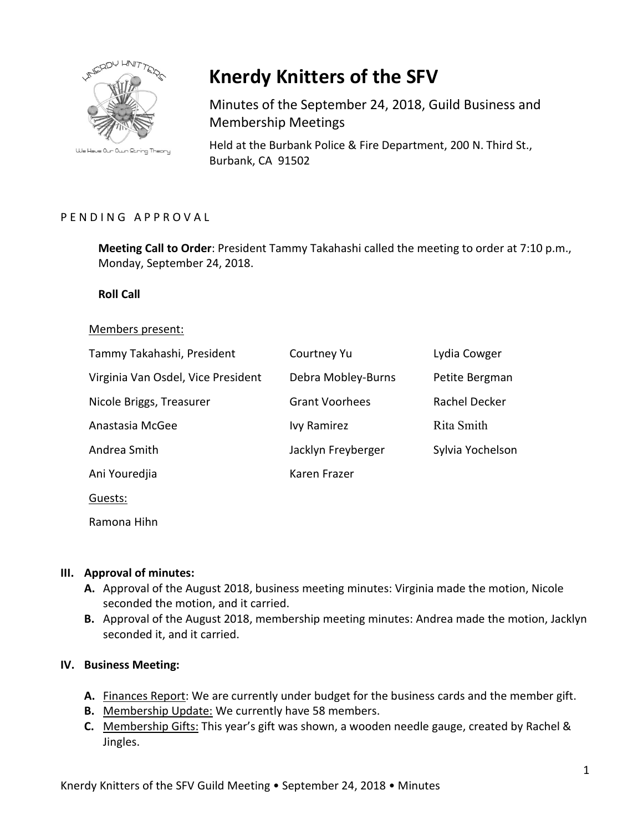

We Have Our Own String Theory

# **Knerdy Knitters of the SFV**

Minutes of the September 24, 2018, Guild Business and Membership Meetings

Held at the Burbank Police & Fire Department, 200 N. Third St., Burbank, CA 91502

## PENDING APPROVAL

**Meeting Call to Order**: President Tammy Takahashi called the meeting to order at 7:10 p.m., Monday, September 24, 2018.

## **Roll Call**

#### Members present:

| Tammy Takahashi, President         | Courtney Yu           | Lydia Cowger     |
|------------------------------------|-----------------------|------------------|
| Virginia Van Osdel, Vice President | Debra Mobley-Burns    | Petite Bergman   |
| Nicole Briggs, Treasurer           | <b>Grant Voorhees</b> | Rachel Decker    |
| Anastasia McGee                    | <b>Ivy Ramirez</b>    | Rita Smith       |
| Andrea Smith                       | Jacklyn Freyberger    | Sylvia Yochelson |
| Ani Youredjia                      | Karen Frazer          |                  |
| Guests:                            |                       |                  |

Ramona Hihn

## **III. Approval of minutes:**

- **A.** Approval of the August 2018, business meeting minutes: Virginia made the motion, Nicole seconded the motion, and it carried.
- **B.** Approval of the August 2018, membership meeting minutes: Andrea made the motion, Jacklyn seconded it, and it carried.

## **IV. Business Meeting:**

- **A.** Finances Report: We are currently under budget for the business cards and the member gift.
- **B.** Membership Update: We currently have 58 members.
- **C.** Membership Gifts: This year's gift was shown, a wooden needle gauge, created by Rachel & Jingles.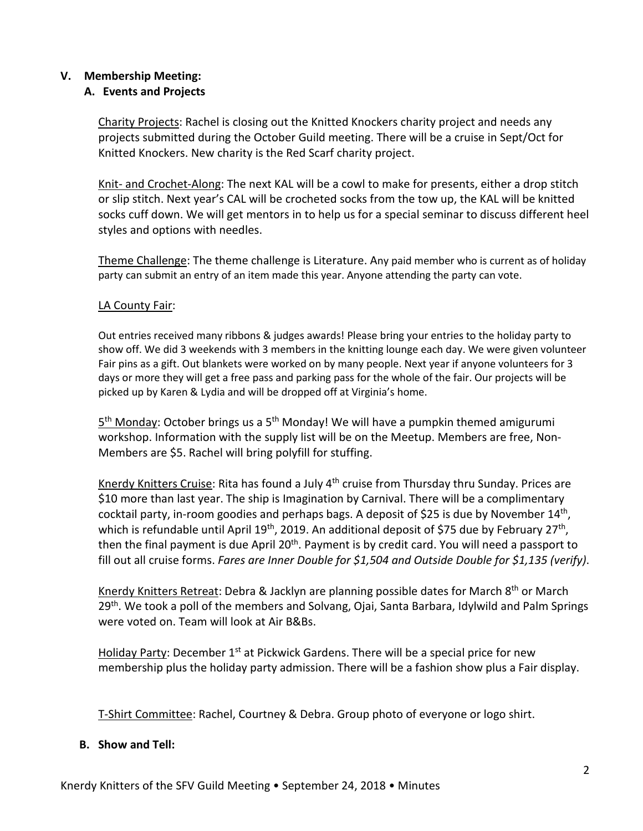## **V. Membership Meeting:**

## **A. Events and Projects**

Charity Projects: Rachel is closing out the Knitted Knockers charity project and needs any projects submitted during the October Guild meeting. There will be a cruise in Sept/Oct for Knitted Knockers. New charity is the Red Scarf charity project.

Knit- and Crochet-Along: The next KAL will be a cowl to make for presents, either a drop stitch or slip stitch. Next year's CAL will be crocheted socks from the tow up, the KAL will be knitted socks cuff down. We will get mentors in to help us for a special seminar to discuss different heel styles and options with needles.

Theme Challenge: The theme challenge is Literature. Any paid member who is current as of holiday party can submit an entry of an item made this year. Anyone attending the party can vote.

## LA County Fair:

Out entries received many ribbons & judges awards! Please bring your entries to the holiday party to show off. We did 3 weekends with 3 members in the knitting lounge each day. We were given volunteer Fair pins as a gift. Out blankets were worked on by many people. Next year if anyone volunteers for 3 days or more they will get a free pass and parking pass for the whole of the fair. Our projects will be picked up by Karen & Lydia and will be dropped off at Virginia's home.

 $5<sup>th</sup>$  Monday: October brings us a  $5<sup>th</sup>$  Monday! We will have a pumpkin themed amigurumi workshop. Information with the supply list will be on the Meetup. Members are free, Non-Members are \$5. Rachel will bring polyfill for stuffing.

Knerdy Knitters Cruise: Rita has found a July 4<sup>th</sup> cruise from Thursday thru Sunday. Prices are \$10 more than last year. The ship is Imagination by Carnival. There will be a complimentary cocktail party, in-room goodies and perhaps bags. A deposit of \$25 is due by November 14<sup>th</sup>, which is refundable until April 19<sup>th</sup>, 2019. An additional deposit of \$75 due by February 27<sup>th</sup>, then the final payment is due April 20<sup>th</sup>. Payment is by credit card. You will need a passport to fill out all cruise forms. *Fares are Inner Double for \$1,504 and Outside Double for \$1,135 (verify)*.

Knerdy Knitters Retreat: Debra & Jacklyn are planning possible dates for March 8<sup>th</sup> or March 29<sup>th</sup>. We took a poll of the members and Solvang, Ojai, Santa Barbara, Idylwild and Palm Springs were voted on. Team will look at Air B&Bs.

Holiday Party: December  $1<sup>st</sup>$  at Pickwick Gardens. There will be a special price for new membership plus the holiday party admission. There will be a fashion show plus a Fair display.

T-Shirt Committee: Rachel, Courtney & Debra. Group photo of everyone or logo shirt.

## **B. Show and Tell:**